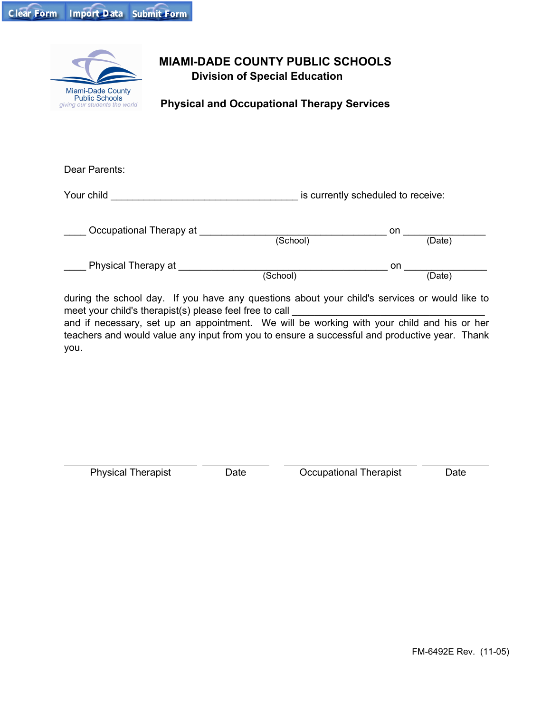| Clear Form Import Data Submit Form |  |
|------------------------------------|--|
|                                    |  |



## **MIAMI-DADE COUNTY PUBLIC SCHOOLS Division of Special Education**

**Physical and Occupational Therapy Services**

| is currently scheduled to receive: |  |  |
|------------------------------------|--|--|
| on<br>(School)<br>(Date)           |  |  |
| on<br>(Date)                       |  |  |
|                                    |  |  |

during the school day. If you have any questions about your child's services or would like to meet your child's therapist(s) please feel free to call and if necessary, set up an appointment. We will be working with your child and his or her teachers and would value any input from you to ensure a successful and productive year. Thank you.

Physical Therapist Date

Occupational Therapist **Date**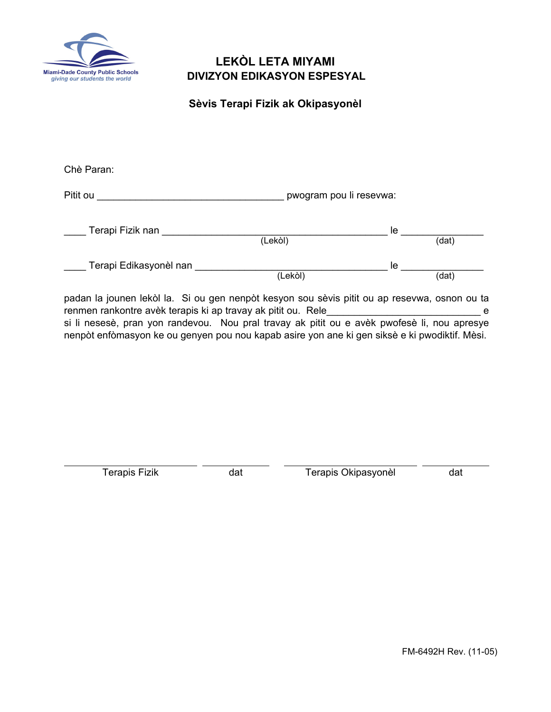

## **LEKÒL LETA MIYAMI DIVIZYON EDIKASYON ESPESYAL**

**Sèvis Terapi Fizik ak Okipasyonèl**

| Chè Paran:             |                         |    |        |  |
|------------------------|-------------------------|----|--------|--|
| Pitit ou               | pwogram pou li resevwa: |    |        |  |
| Terapi Fizik nan       | (Lekòl)                 | le | (dat)  |  |
| Terapi Edikasyonèl nan | (Lekòl)                 | le | (data) |  |

padan la jounen lekòl la. Si ou gen nenpòt kesyon sou sèvis pitit ou ap resevwa, osnon ou ta renmen rankontre avèk terapis ki ap travay ak pitit ou. Rele\_\_\_\_\_\_\_\_\_\_\_\_\_\_\_\_\_\_\_\_\_\_\_\_\_\_\_\_ e si li nesesè, pran yon randevou. Nou pral travay ak pitit ou e avèk pwofesè li, nou apresye nenpòt enfòmasyon ke ou genyen pou nou kapab asire yon ane ki gen siksè e ki pwodiktif. Mèsi.

Terapis Fizik dat

Terapis Okipasyonèl dat